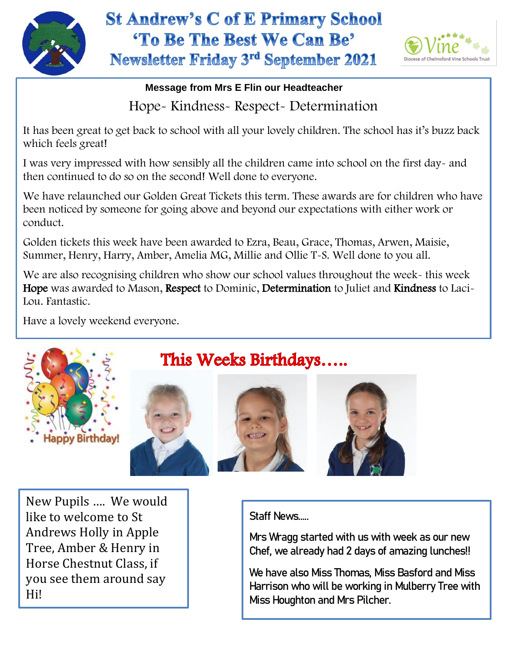

## **St Andrew's C of E Primary School** 'To Be The Best We Can Be' Newsletter Friday 3rd September 2021



## **Message from Mrs E Flin our Headteacher** Hope- Kindness- Respect- Determination

It has been great to get back to school with all your lovely children. The school has it's buzz back which feels great!

I was very impressed with how sensibly all the children came into school on the first day- and then continued to do so on the second! Well done to everyone.

We have relaunched our Golden Great Tickets this term. These awards are for children who have been noticed by someone for going above and beyond our expectations with either work or conduct.

Golden tickets this week have been awarded to Ezra, Beau, Grace, Thomas, Arwen, Maisie, Summer, Henry, Harry, Amber, Amelia MG, Millie and Ollie T-S. Well done to you all.

 Lou. Fantastic. We are also recognising children who show our school values throughout the week- this week Hope was awarded to Mason, Respect to Dominic, Determination to Juliet and Kindness to Laci-

Have a lovely weekend everyone.









New Pupils …. We would like to welcome to St Andrews Holly in Apple Tree, Amber & Henry in Horse Chestnut Class, if you see them around say Hi!

Staff News…..

Mrs Wragg started with us with week as our new Chef, we already had 2 days of amazing lunches!!

We have also Miss Thomas, Miss Basford and Miss Harrison who will be working in Mulberry Tree with Miss Houghton and Mrs Pilcher.